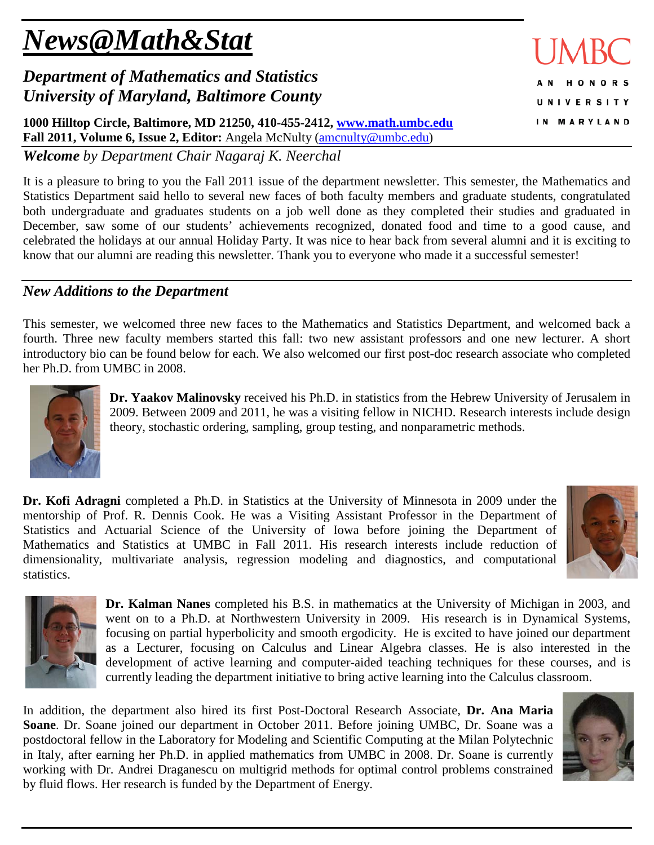# *News@Math&Stat*

# *Department of Mathematics and Statistics University of Maryland, Baltimore County*

**1000 Hilltop Circle, Baltimore, MD 21250, 410-455-2412, [www.math.umbc.edu](http://www.math.umbc.edu/) Fall 2011, Volume 6, Issue 2, Editor:** Angela McNulty [\(amcnulty@umbc.edu\)](mailto:amcnulty@umbc.edu)

*Welcome by Department Chair Nagaraj K. Neerchal*

It is a pleasure to bring to you the Fall 2011 issue of the department newsletter. This semester, the Mathematics and Statistics Department said hello to several new faces of both faculty members and graduate students, congratulated both undergraduate and graduates students on a job well done as they completed their studies and graduated in December, saw some of our students' achievements recognized, donated food and time to a good cause, and celebrated the holidays at our annual Holiday Party. It was nice to hear back from several alumni and it is exciting to know that our alumni are reading this newsletter. Thank you to everyone who made it a successful semester!

# *New Additions to the Department*

This semester, we welcomed three new faces to the Mathematics and Statistics Department, and welcomed back a fourth. Three new faculty members started this fall: two new assistant professors and one new lecturer. A short introductory bio can be found below for each. We also welcomed our first post-doc research associate who completed her Ph.D. from UMBC in 2008.



**Dr. Yaakov Malinovsky** received his Ph.D. in statistics from the Hebrew University of Jerusalem in 2009. Between 2009 and 2011, he was a visiting fellow in NICHD. Research interests include design theory, stochastic ordering, sampling, group testing, and nonparametric methods.

**Dr. Kofi Adragni** completed a Ph.D. in Statistics at the University of Minnesota in 2009 under the mentorship of Prof. R. Dennis Cook. He was a Visiting Assistant Professor in the Department of Statistics and Actuarial Science of the University of Iowa before joining the Department of Mathematics and Statistics at UMBC in Fall 2011. His research interests include reduction of dimensionality, multivariate analysis, regression modeling and diagnostics, and computational statistics.





**Dr. Kalman Nanes** completed his B.S. in mathematics at the University of Michigan in 2003, and went on to a Ph.D. at Northwestern University in 2009. His research is in Dynamical Systems, focusing on partial hyperbolicity and smooth ergodicity. He is excited to have joined our department as a Lecturer, focusing on Calculus and Linear Algebra classes. He is also interested in the development of active learning and computer-aided teaching techniques for these courses, and is currently leading the department initiative to bring active learning into the Calculus classroom.

In addition, the department also hired its first Post-Doctoral Research Associate, **Dr. Ana Maria Soane**. Dr. Soane joined our department in October 2011. Before joining UMBC, Dr. Soane was a postdoctoral fellow in the Laboratory for Modeling and Scientific Computing at the Milan Polytechnic in Italy, after earning her Ph.D. in applied mathematics from UMBC in 2008. Dr. Soane is currently working with Dr. Andrei Draganescu on multigrid methods for optimal control problems constrained by fluid flows. Her research is funded by the Department of Energy.

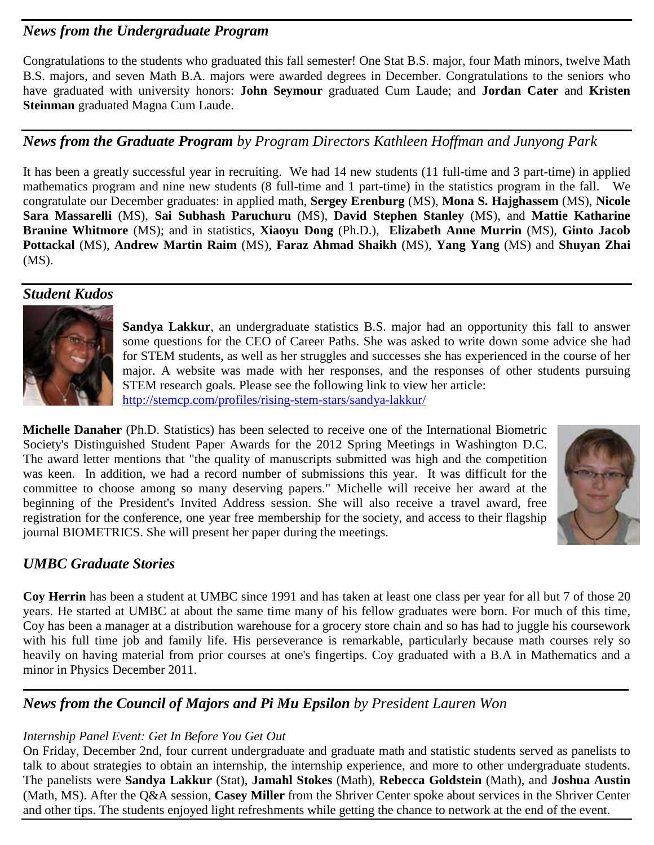## *News from the Undergraduate Program*

Congratulations to the students who graduated this fall semester! One Stat B.S. major, four Math minors, twelve Math B.S. majors, and seven Math B.A. majors were awarded degrees in December. Congratulations to the seniors who have graduated with university honors: **John Seymour** graduated Cum Laude; and **Jordan Cater** and **Kristen Steinman** graduated Magna Cum Laude.

# *News from the Graduate Program by Program Directors Kathleen Hoffman and Junyong Park*

It has been a greatly successful year in recruiting. We had 14 new students (11 full-time and 3 part-time) in applied mathematics program and nine new students (8 full-time and 1 part-time) in the statistics program in the fall. We congratulate our December graduates: in applied math, **Sergey Erenburg** (MS), **Mona S. Hajghassem** (MS), **Nicole Sara Massarelli** (MS), **Sai Subhash Paruchuru** (MS), **David Stephen Stanley** (MS), and **Mattie Katharine Branine Whitmore** (MS); and in statistics, **Xiaoyu Dong** (Ph.D.), **Elizabeth Anne Murrin** (MS), **Ginto Jacob Pottackal** (MS), **Andrew Martin Raim** (MS), **Faraz Ahmad Shaikh** (MS), **Yang Yang** (MS) and **Shuyan Zhai** (MS).

## *Student Kudos*



**Sandya Lakkur**, an undergraduate statistics B.S. major had an opportunity this fall to answer some questions for the CEO of Career Paths. She was asked to write down some advice she had for STEM students, as well as her struggles and successes she has experienced in the course of her major. A website was made with her responses, and the responses of other students pursuing STEM research goals. Please see the following link to view her article: <http://stemcp.com/profiles/rising-stem-stars/sandya-lakkur/>

**Michelle Danaher** (Ph.D. Statistics) has been selected to receive one of the International Biometric Society's Distinguished Student Paper Awards for the 2012 Spring Meetings in Washington D.C. The award letter mentions that "the quality of manuscripts submitted was high and the competition was keen. In addition, we had a record number of submissions this year. It was difficult for the committee to choose among so many deserving papers." Michelle will receive her award at the beginning of the President's Invited Address session. She will also receive a travel award, free registration for the conference, one year free membership for the society, and access to their flagship journal BIOMETRICS. She will present her paper during the meetings.



# *UMBC Graduate Stories*

**Coy Herrin** has been a student at UMBC since 1991 and has taken at least one class per year for all but 7 of those 20 years. He started at UMBC at about the same time many of his fellow graduates were born. For much of this time, Coy has been a manager at a distribution warehouse for a grocery store chain and so has had to juggle his coursework with his full time job and family life. His perseverance is remarkable, particularly because math courses rely so heavily on having material from prior courses at one's fingertips. Coy graduated with a B.A in Mathematics and a minor in Physics December 2011.

# *News from the Council of Majors and Pi Mu Epsilon by President Lauren Won*

## *Internship Panel Event: Get In Before You Get Out*

On Friday, December 2nd, four current undergraduate and graduate math and statistic students served as panelists to talk to about strategies to obtain an internship, the internship experience, and more to other undergraduate students. The panelists were **Sandya Lakkur** (Stat), **Jamahl Stokes** (Math), **Rebecca Goldstein** (Math), and **Joshua Austin** (Math, MS). After the Q&A session, **Casey Miller** from the Shriver Center spoke about services in the Shriver Center and other tips. The students enjoyed light refreshments while getting the chance to network at the end of the event.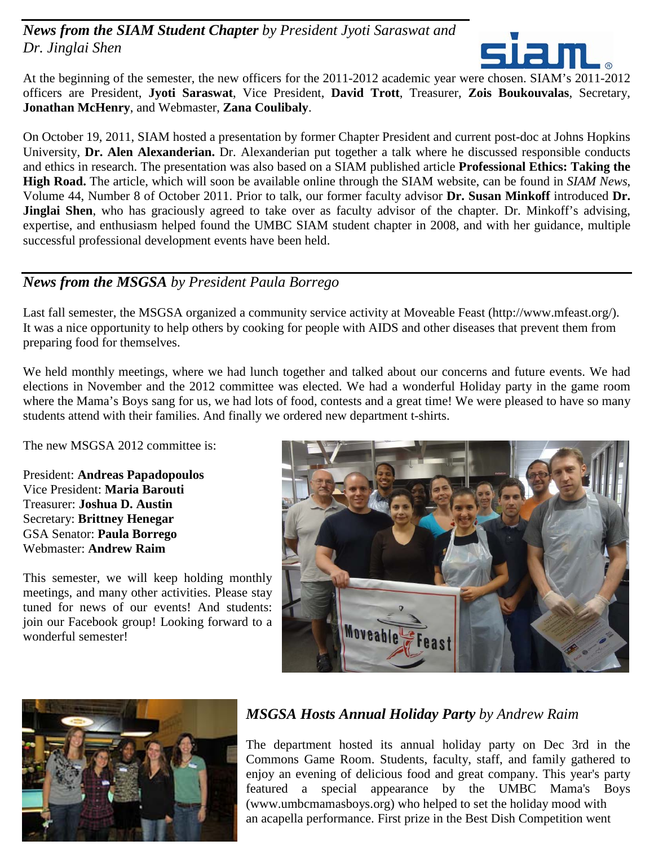*News from the SIAM Student Chapter by President Jyoti Saraswat and Dr. Jinglai Shen*



At the beginning of the semester, the new officers for the 2011-2012 academic year were chosen. SIAM's 2011-2012 officers are President, **Jyoti Saraswat**, Vice President, **David Trott**, Treasurer, **Zois Boukouvalas**, Secretary, **Jonathan McHenry**, and Webmaster, **Zana Coulibaly**.

On October 19, 2011, SIAM hosted a presentation by former Chapter President and current post-doc at Johns Hopkins University, **Dr. Alen Alexanderian.** Dr. Alexanderian put together a talk where he discussed responsible conducts and ethics in research. The presentation was also based on a SIAM published article **Professional Ethics: Taking the High Road.** The article, which will soon be available online through the SIAM website, can be found in *SIAM News*, Volume 44, Number 8 of October 2011. Prior to talk, our former faculty advisor **Dr. Susan Minkoff** introduced **Dr. Jinglai Shen**, who has graciously agreed to take over as faculty advisor of the chapter. Dr. Minkoff's advising, expertise, and enthusiasm helped found the UMBC SIAM student chapter in 2008, and with her guidance, multiple successful professional development events have been held.

## *News from the MSGSA by President Paula Borrego*

Last fall semester, the MSGSA organized a community service activity at Moveable Feast (http://www.mfeast.org/). It was a nice opportunity to help others by cooking for people with AIDS and other diseases that prevent them from preparing food for themselves.

We held monthly meetings, where we had lunch together and talked about our concerns and future events. We had elections in November and the 2012 committee was elected. We had a wonderful Holiday party in the game room where the Mama's Boys sang for us, we had lots of food, contests and a great time! We were pleased to have so many students attend with their families. And finally we ordered new department t-shirts.

The new MSGSA 2012 committee is:

President: **Andreas Papadopoulos** Vice President: **Maria Barouti** Treasurer: **Joshua D. Austin** Secretary: **Brittney Henegar** GSA Senator: **Paula Borrego** Webmaster: **Andrew Raim**

This semester, we will keep holding monthly meetings, and many other activities. Please stay tuned for news of our events! And students: join our Facebook group! Looking forward to a wonderful semester!





# *MSGSA Hosts Annual Holiday Party by Andrew Raim*

The department hosted its annual holiday party on Dec 3rd in the Commons Game Room. Students, faculty, staff, and family gathered to enjoy an evening of delicious food and great company. This year's party featured a special appearance by the UMBC Mama's Boys (www.umbcmamasboys.org) who helped to set the holiday mood with an acapella performance. First prize in the Best Dish Competition went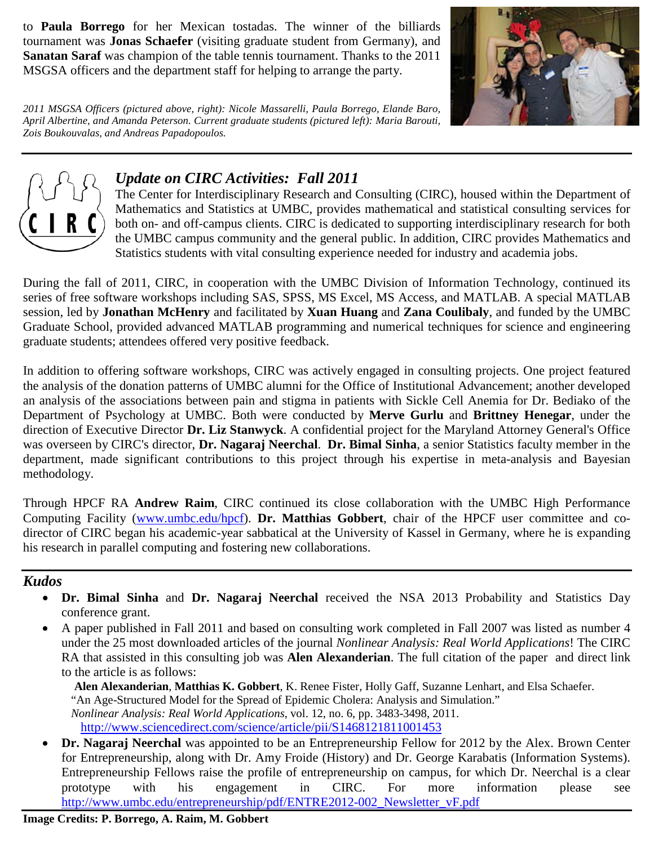to **Paula Borrego** for her Mexican tostadas. The winner of the billiards tournament was **Jonas Schaefer** (visiting graduate student from Germany), and **Sanatan Saraf** was champion of the table tennis tournament. Thanks to the 2011 MSGSA officers and the department staff for helping to arrange the party.

*2011 MSGSA Officers (pictured above, right): Nicole Massarelli, Paula Borrego, Elande Baro, April Albertine, and Amanda Peterson. Current graduate students (pictured left): Maria Barouti, Zois Boukouvalas, and Andreas Papadopoulos.*



# *Update on CIRC Activities: Fall 2011*

The Center for Interdisciplinary Research and Consulting (CIRC), housed within the Department of Mathematics and Statistics at UMBC, provides mathematical and statistical consulting services for both on- and off-campus clients. CIRC is dedicated to supporting interdisciplinary research for both the UMBC campus community and the general public. In addition, CIRC provides Mathematics and Statistics students with vital consulting experience needed for industry and academia jobs.

During the fall of 2011, CIRC, in cooperation with the UMBC Division of Information Technology, continued its series of free software workshops including SAS, SPSS, MS Excel, MS Access, and MATLAB. A special MATLAB session, led by **Jonathan McHenry** and facilitated by **Xuan Huang** and **Zana Coulibaly**, and funded by the UMBC Graduate School, provided advanced MATLAB programming and numerical techniques for science and engineering graduate students; attendees offered very positive feedback.

In addition to offering software workshops, CIRC was actively engaged in consulting projects. One project featured the analysis of the donation patterns of UMBC alumni for the Office of Institutional Advancement; another developed an analysis of the associations between pain and stigma in patients with Sickle Cell Anemia for Dr. Bediako of the Department of Psychology at UMBC. Both were conducted by **Merve Gurlu** and **Brittney Henegar**, under the direction of Executive Director **Dr. Liz Stanwyck**. A confidential project for the Maryland Attorney General's Office was overseen by CIRC's director, **Dr. Nagaraj Neerchal**. **Dr. Bimal Sinha**, a senior Statistics faculty member in the department, made significant contributions to this project through his expertise in meta-analysis and Bayesian methodology.

Through HPCF RA **Andrew Raim**, CIRC continued its close collaboration with the UMBC High Performance Computing Facility [\(www.umbc.edu/hpcf\)](http://www.umbc.edu/hpcf). **Dr. Matthias Gobbert**, chair of the HPCF user committee and codirector of CIRC began his academic-year sabbatical at the University of Kassel in Germany, where he is expanding his research in parallel computing and fostering new collaborations.

## *Kudos*

- **Dr. Bimal Sinha** and **Dr. Nagaraj Neerchal** received the NSA 2013 Probability and Statistics Day conference grant.
- A paper published in Fall 2011 and based on consulting work completed in Fall 2007 was listed as number 4 under the 25 most downloaded articles of the journal *Nonlinear Analysis: Real World Applications*! The CIRC RA that assisted in this consulting job was **Alen Alexanderian**. The full citation of the paper and direct link to the article is as follows:

**Alen Alexanderian**, **Matthias K. Gobbert**, K. Renee Fister, Holly Gaff, Suzanne Lenhart, and Elsa Schaefer. "An Age-Structured Model for the Spread of Epidemic Cholera: Analysis and Simulation." *Nonlinear Analysis: Real World Applications*, vol. 12, no. 6, pp. 3483-3498, 2011. <http://www.sciencedirect.com/science/article/pii/S1468121811001453>

• **Dr. Nagaraj Neerchal** was appointed to be an Entrepreneurship Fellow for 2012 by the Alex. Brown Center for Entrepreneurship, along with Dr. Amy Froide (History) and Dr. George Karabatis (Information Systems). Entrepreneurship Fellows raise the profile of entrepreneurship on campus, for which Dr. Neerchal is a clear prototype with his engagement in CIRC. For more information please see [http://www.umbc.edu/entrepreneurship/pdf/ENTRE2012-002\\_Newsletter\\_vF.pdf](http://www.umbc.edu/entrepreneurship/pdf/ENTRE2012-002_Newsletter_vF.pdf)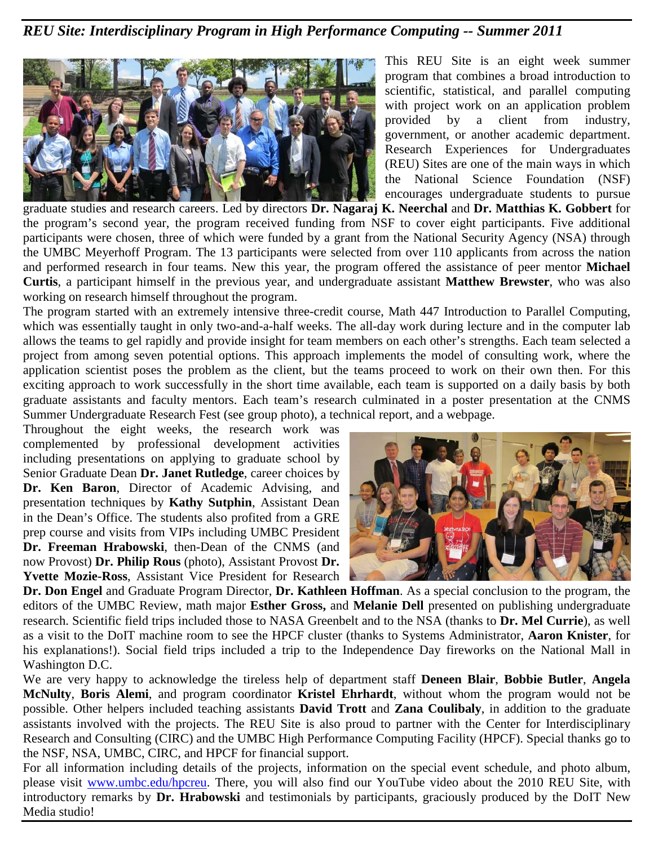# *REU Site: Interdisciplinary Program in High Performance Computing -- Summer 2011*



This REU Site is an eight week summer program that combines a broad introduction to scientific, statistical, and parallel computing with project work on an application problem provided by a client from industry, government, or another academic department. Research Experiences for Undergraduates (REU) Sites are one of the main ways in which the National Science Foundation (NSF) encourages undergraduate students to pursue

graduate studies and research careers. Led by directors **Dr. Nagaraj K. Neerchal** and **Dr. Matthias K. Gobbert** for the program's second year, the program received funding from NSF to cover eight participants. Five additional participants were chosen, three of which were funded by a grant from the National Security Agency (NSA) through the UMBC Meyerhoff Program. The 13 participants were selected from over 110 applicants from across the nation and performed research in four teams. New this year, the program offered the assistance of peer mentor **Michael Curtis**, a participant himself in the previous year, and undergraduate assistant **Matthew Brewster**, who was also working on research himself throughout the program.

The program started with an extremely intensive three-credit course, Math 447 Introduction to Parallel Computing, which was essentially taught in only two-and-a-half weeks. The all-day work during lecture and in the computer lab allows the teams to gel rapidly and provide insight for team members on each other's strengths. Each team selected a project from among seven potential options. This approach implements the model of consulting work, where the application scientist poses the problem as the client, but the teams proceed to work on their own then. For this exciting approach to work successfully in the short time available, each team is supported on a daily basis by both graduate assistants and faculty mentors. Each team's research culminated in a poster presentation at the CNMS Summer Undergraduate Research Fest (see group photo), a technical report, and a webpage.

Throughout the eight weeks, the research work was complemented by professional development activities including presentations on applying to graduate school by Senior Graduate Dean **Dr. Janet Rutledge**, career choices by **Dr. Ken Baron**, Director of Academic Advising, and presentation techniques by **Kathy Sutphin**, Assistant Dean in the Dean's Office. The students also profited from a GRE prep course and visits from VIPs including UMBC President **Dr. Freeman Hrabowski**, then-Dean of the CNMS (and now Provost) **Dr. Philip Rous** (photo), Assistant Provost **Dr. Yvette Mozie-Ross**, Assistant Vice President for Research



**Dr. Don Engel** and Graduate Program Director, **Dr. Kathleen Hoffman**. As a special conclusion to the program, the editors of the UMBC Review, math major **Esther Gross,** and **Melanie Dell** presented on publishing undergraduate research. Scientific field trips included those to NASA Greenbelt and to the NSA (thanks to **Dr. Mel Currie**), as well as a visit to the DoIT machine room to see the HPCF cluster (thanks to Systems Administrator, **Aaron Knister**, for his explanations!). Social field trips included a trip to the Independence Day fireworks on the National Mall in Washington D.C.

We are very happy to acknowledge the tireless help of department staff **Deneen Blair**, **Bobbie Butler**, **Angela McNulty**, **Boris Alemi**, and program coordinator **Kristel Ehrhardt**, without whom the program would not be possible. Other helpers included teaching assistants **David Trott** and **Zana Coulibaly**, in addition to the graduate assistants involved with the projects. The REU Site is also proud to partner with the Center for Interdisciplinary Research and Consulting (CIRC) and the UMBC High Performance Computing Facility (HPCF). Special thanks go to the NSF, NSA, UMBC, CIRC, and HPCF for financial support.

For all information including details of the projects, information on the special event schedule, and photo album, please visit [www.umbc.edu/hpcreu.](http://www.umbc.edu/hpcreu) There, you will also find our YouTube video about the 2010 REU Site, with introductory remarks by **Dr. Hrabowski** and testimonials by participants, graciously produced by the DoIT New Media studio!